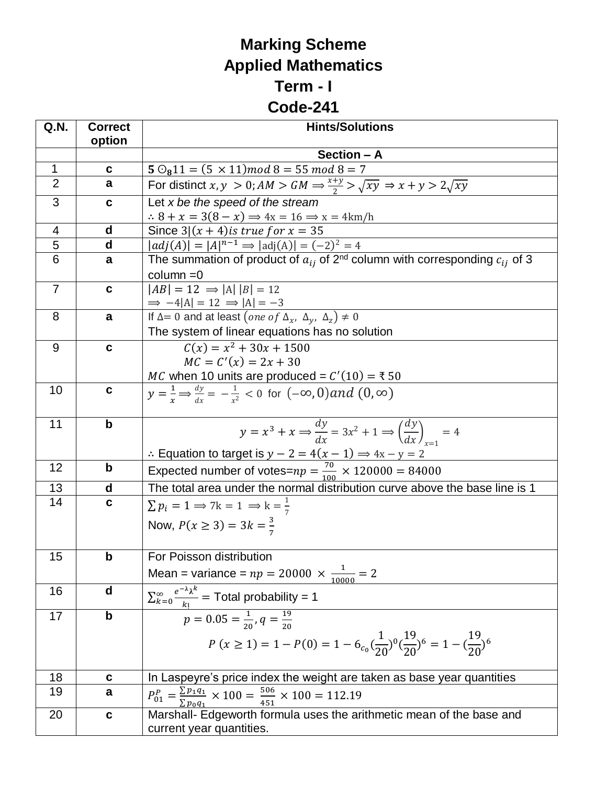## **Marking Scheme Applied Mathematics Term - I**

## **Code-241**

| Q.N.           | <b>Correct</b> | <b>Hints/Solutions</b>                                                                                                                     |
|----------------|----------------|--------------------------------------------------------------------------------------------------------------------------------------------|
|                | option         |                                                                                                                                            |
|                |                | Section - A                                                                                                                                |
| $\mathbf{1}$   | $\mathbf c$    | $5\,\mathrm{O}_811 = (5\times11) \mod 8 = 55 \mod 8 = 7$                                                                                   |
| $\overline{2}$ | a              | For distinct $x, y > 0$ ; $AM > GM \Rightarrow \frac{x+y}{2} > \sqrt{xy} \Rightarrow x+y > 2\sqrt{xy}$                                     |
| 3              | C              | Let $x$ be the speed of the stream                                                                                                         |
|                |                | $\therefore$ 8 + x = 3(8 - x) $\Rightarrow$ 4x = 16 $\Rightarrow$ x = 4km/h                                                                |
| 4              | $\mathbf d$    | Since $3 (x + 4)$ is true for $x = 35$                                                                                                     |
| $\overline{5}$ | d              | $ adj(A)  =  A ^{n-1} \Rightarrow  adj(A)  = (-2)^2 = 4$                                                                                   |
| 6              | a              | The summation of product of $a_{ij}$ of 2 <sup>nd</sup> column with corresponding $c_{ij}$ of 3                                            |
| $\overline{7}$ | $\mathbf c$    | $column = 0$<br>$ AB  = 12 \Rightarrow  A   B  = 12$                                                                                       |
|                |                |                                                                                                                                            |
| 8              | a              | $\Rightarrow$ -4 A  = 12 $\Rightarrow$  A  = -3<br>If $\Delta$ = 0 and at least $(\text{one of } \Delta_x, \Delta_y, \Delta_z) \neq 0$     |
|                |                | The system of linear equations has no solution                                                                                             |
| 9              | $\mathbf c$    | $\overline{C(x)} = x^2 + 30x + 1500$                                                                                                       |
|                |                | $MC = C'(x) = 2x + 30$                                                                                                                     |
|                |                | <i>MC</i> when 10 units are produced = $C'(10) = 350$                                                                                      |
| 10             | C              | $y=\frac{1}{r}\Rightarrow\frac{dy}{dr}=-\frac{1}{r^2}<0$ for $(-\infty,0)$ and $(0,\infty)$                                                |
|                |                |                                                                                                                                            |
| 11             | b              | $y = x^3 + x \Rightarrow \frac{dy}{dx} = 3x^2 + 1 \Rightarrow \left(\frac{dy}{dx}\right) = 4$                                              |
|                |                |                                                                                                                                            |
|                |                |                                                                                                                                            |
| 12             | b              | : Equation to target is $y - 2 = 4(x - 1) \Rightarrow 4x - y = 2$<br>Expected number of votes= $np = \frac{70}{100} \times 120000 = 84000$ |
| 13             | d              | The total area under the normal distribution curve above the base line is 1                                                                |
| 14             | $\mathbf c$    | $\sum p_i = 1 \Rightarrow 7k = 1 \Rightarrow k = \frac{1}{7}$                                                                              |
|                |                | Now, $P(x \ge 3) = 3k = \frac{3}{7}$                                                                                                       |
|                |                |                                                                                                                                            |
| 15             | $\mathbf b$    | For Poisson distribution                                                                                                                   |
|                |                |                                                                                                                                            |
|                |                | Mean = variance = $np = 20000 \times \frac{1}{10000} = 2$                                                                                  |
| 16             | $\mathbf d$    | $\sum_{k=0}^{\infty} \frac{e^{-\lambda} \lambda^k}{k!} = \text{Total probability} = 1$                                                     |
| 17             | $\mathsf b$    | $p = 0.05 = \frac{1}{20}, q = \frac{19}{20}$                                                                                               |
|                |                |                                                                                                                                            |
|                |                | $P(x \ge 1) = 1 - P(0) = 1 - 6_{c_0} \left(\frac{1}{20}\right)^0 \left(\frac{19}{20}\right)^6 = 1 - \left(\frac{19}{20}\right)^6$          |
|                |                |                                                                                                                                            |
| 18             | $\mathbf c$    | In Laspeyre's price index the weight are taken as base year quantities                                                                     |
| 19             | a              | $P_{01}^P = \frac{\sum p_1 q_1}{\sum p_0 q_1} \times 100 = \frac{506}{451} \times 100 = 112.19$                                            |
| 20             | C              | Marshall- Edgeworth formula uses the arithmetic mean of the base and                                                                       |
|                |                | current year quantities.                                                                                                                   |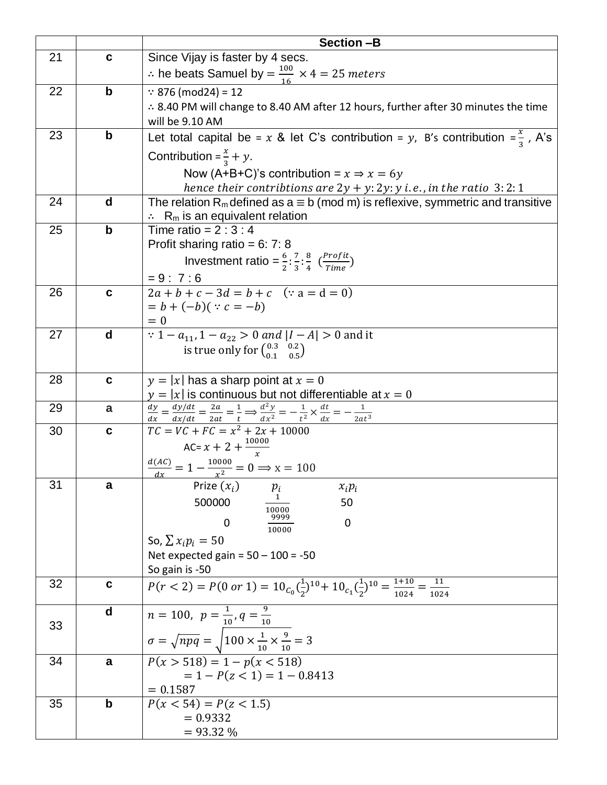|    |             | Section-B                                                                                                                                                                                                                |
|----|-------------|--------------------------------------------------------------------------------------------------------------------------------------------------------------------------------------------------------------------------|
| 21 | C           | Since Vijay is faster by 4 secs.                                                                                                                                                                                         |
|    |             | : he beats Samuel by $=\frac{100}{16} \times 4 = 25$ meters                                                                                                                                                              |
| 22 | $\mathbf b$ | $\because$ 876 (mod24) = 12                                                                                                                                                                                              |
|    |             | ∴ 8.40 PM will change to 8.40 AM after 12 hours, further after 30 minutes the time                                                                                                                                       |
|    |             | will be 9.10 AM                                                                                                                                                                                                          |
| 23 | $\mathbf b$ | Let total capital be = x & let C's contribution = y, B's contribution = $\frac{x}{3}$ , A's                                                                                                                              |
|    |             | Contribution = $\frac{x}{3}$ + y.                                                                                                                                                                                        |
|    |             | Now (A+B+C)'s contribution = $x \Rightarrow x = 6y$                                                                                                                                                                      |
|    |             | hence their contribtions are $2y + y$ : $2y$ : $y$ i.e., in the ratio 3: 2: 1                                                                                                                                            |
| 24 | d           | The relation R <sub>m</sub> defined as $a \equiv b \pmod{m}$ is reflexive, symmetric and transitive<br>$\therefore$ R <sub>m</sub> is an equivalent relation                                                             |
| 25 | $\mathbf b$ | Time ratio = $2:3:4$                                                                                                                                                                                                     |
|    |             | Profit sharing ratio = $6: 7: 8$                                                                                                                                                                                         |
|    |             | Investment ratio = $\frac{6}{3}$ : $\frac{7}{3}$ : $\frac{8}{4}$ $\left(\frac{Profit}{Time}\right)$                                                                                                                      |
|    |             | $= 9:7:6$                                                                                                                                                                                                                |
| 26 | $\mathbf c$ | $\overline{2a + b + c - 3d} = b + c$ (: a = d = 0)                                                                                                                                                                       |
|    |             | $= b + (-b)( : c = -b)$                                                                                                                                                                                                  |
|    |             | $= 0$                                                                                                                                                                                                                    |
| 27 | d           | : $1 - a_{11}$ , $1 - a_{22} > 0$ and $ I - A  > 0$ and it                                                                                                                                                               |
|    |             | is true only for $\begin{pmatrix} 0.3 & 0.2 \\ 0.1 & 0.5 \end{pmatrix}$                                                                                                                                                  |
|    |             |                                                                                                                                                                                                                          |
| 28 | $\mathbf c$ | $y =  x $ has a sharp point at $x = 0$                                                                                                                                                                                   |
| 29 | a           | $y =  x $ is continuous but not differentiable at $x = 0$<br>$\frac{dy}{dx} = \frac{dy/dt}{dx/dt} = \frac{2a}{2at} = \frac{1}{t} \Rightarrow \frac{d^2y}{dx^2} = -\frac{1}{t^2} \times \frac{dt}{dx} = -\frac{1}{2at^3}$ |
| 30 | $\mathbf c$ | $TC = VC + FC = x^2 + 2x + 10000$                                                                                                                                                                                        |
|    |             | AC= $x + 2 + \frac{10000}{x}$                                                                                                                                                                                            |
|    |             | $\frac{d(AC)}{dx} = 1 - \frac{10000}{x^2} = 0 \Rightarrow x = 100$                                                                                                                                                       |
| 31 | a           | Prize $(x_i)$<br>$x_i p_i$<br>$p_i$                                                                                                                                                                                      |
|    |             | 500000<br>50                                                                                                                                                                                                             |
|    |             | 10000<br>9999<br>$\mathbf 0$<br>0                                                                                                                                                                                        |
|    |             | 10000                                                                                                                                                                                                                    |
|    |             | So, $\sum x_i p_i = 50$<br>Net expected gain = $50 - 100 = -50$                                                                                                                                                          |
|    |             | So gain is -50                                                                                                                                                                                                           |
| 32 | C           | $P(r < 2) = P(0 \text{ or } 1) = 10_{C_0}(\frac{1}{2})^{10} + 10_{C_1}(\frac{1}{2})^{10} = \frac{1+10}{1024} = \frac{11}{1024}$                                                                                          |
|    |             |                                                                                                                                                                                                                          |
|    | d           | $\overline{n} = 100, \ \ p = \frac{1}{10}, q = \frac{9}{10}$                                                                                                                                                             |
| 33 |             | $\sigma = \sqrt{npq} = \sqrt{100 \times \frac{1}{10} \times \frac{9}{10}} = 3$                                                                                                                                           |
|    |             |                                                                                                                                                                                                                          |
| 34 | a           | $P(x > 518) = 1 - p(x < 518)$                                                                                                                                                                                            |
|    |             | $= 1 - P(z < 1) = 1 - 0.8413$<br>$= 0.1587$                                                                                                                                                                              |
| 35 | b           | $P(x < 54) = P(z < 1.5)$                                                                                                                                                                                                 |
|    |             | $= 0.9332$                                                                                                                                                                                                               |
|    |             | $= 93.32 %$                                                                                                                                                                                                              |